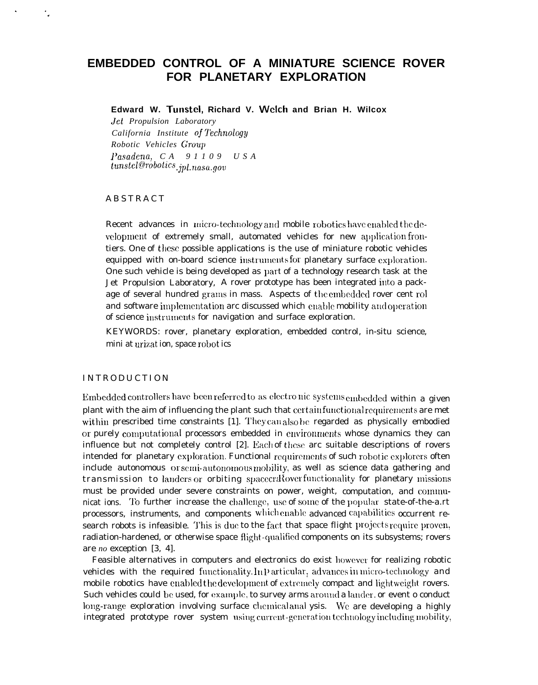# EMBEDDED CONTROL OF A MINIATURE SCIENCE ROVER FOR PLANETARY EXPLORATION

Edward W. Tunstel, Richard V. Welch and Brian H. Wilcox

Jet Propulsion Laboratory California Institute of Technology Robotic Vehicles Group Pasadena, CA  $91109$  USA  $tunstel@robotics_{ipl.}$  nasa.gov

## **ABSTRACT**

۰,

Recent advances in micro-technology and mobile robotics have enabled the development of extremely small, automated vehicles for new application frontiers. One of these possible applications is the use of miniature robotic vehicles equipped with on-board science instruments for planetary surface exploration. One such vehicle is being developed as part of a technology research task at the Jet Propulsion Laboratory, A rover prototype has been integrated into a package of several hundred grams in mass. Aspects of the embedded rover cent rol and software implementation are discussed which enable mobility and operation of science instruments for navigation and surface exploration.

KEYWORDS: rover, planetary exploration, embedded control, in-situ science, mini at urizat ion, space robot ics

## **INTRODUCTION**

Embedded controllers have been referred to as electronic systems embedded within a given plant with the aim of influencing the plant such that certain functional requirements are met within prescribed time constraints [1]. They can also be regarded as physically embodied or purely computational processors embedded in environments whose dynamics they can influence but not completely control [2]. Each of these arc suitable descriptions of rovers intended for planetary exploration. Functional requirements of such robotic explorers often include autonomous or semi-autonomous mobility, as well as science data gathering and transmission to landers or orbiting spacecrdoverfunctionality for planetary missions must be provided under severe constraints on power, weight, computation, and communicat ions. To further increase the challenge, use of some of the popular state-of-the-a.rt processors, instruments, and components which enable advanced capabilities occurrent research robots is infeasible. This is due to the fact that space flight projects require proven, radiation-hardened, or otherwise space flight-qualified components on its subsystems; rovers are no exception [3, 4].

Feasible alternatives in computers and electronics do exist however for realizing robotic vehicles with the required functionality. In Particular, advances in micro-technology and mobile robotics have enabled the development of extremely compact and lightweight rovers. Such vehicles could be used, for example, to survey arms around a lander, or event o conduct long-range exploration involving surface chemical anal ysis. We are developing a highly integrated prototype rover system using current-generation technology including mobility,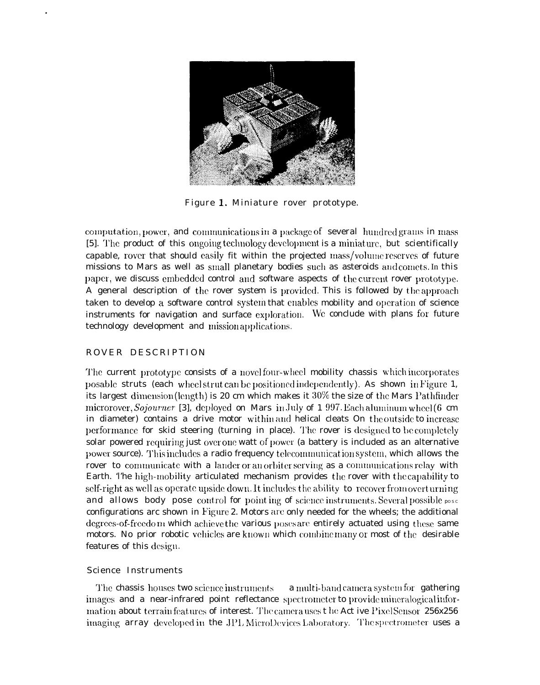

Figure 1. Miniature rover prototype.

computation, power, and communications in a package of several hundred grams in mass [5]. The product of this ongoing technology development is a miniature, but scientifically capable, rover that should easily fit within the projected mass/volume reserves of future missions to Mars as well as small planetary bodies such as asteroids and comets. In this paper, we discuss embedded control and software aspects of the current rover prototype. A general description of the rover system is provided. This is followed by the approach taken to develop a software control system that enables mobility and operation of science instruments for navigation and surface exploration. We conclude with plans for future technology development and mission applications.

## ROVER DESCRIPTION

The current prototype consists of a novel four-wheel mobility chassis which incorporates posable struts (each wheelstrut can be positioned independently). As shown in Figure 1, its largest dimension (length) is 20 cm which makes it  $30\%$  the size of the Mars Pathfinder microrover, Sojourner [3], deployed on Mars in July of 1 997. Each aluminum wheel  $(6 \text{ cm})$ in diameter) contains a drive motor within and helical cleats On the outside to increase performance for skid steering (turning in place). The rover is designed to be completely solar powered requiring just over one watt of power (a battery is included as an alternative power source). This includes a radio frequency telecommunication system, which allows the rover to communicate with a lander or an orbiter serving as a communications relay with Earth. The high-mobility articulated mechanism provides the rover with the capability to self-right as well as operate upside down. It includes the ability to recover from overturning and allows body pose control for pointing of science instruments. Several possible pose configurations arc shown in Figure 2. Motors are only needed for the wheels; the additional degrees-of-freedom which achieve the various poses are entirely actuated using these same motors. No prior robotic vehicles are known which combine many or most of the desirable features of this design.

## Science Instruments

The chassis houses two science instruments a multi-band camera system for gathering images and a near-infrared point reflectance spectrometer to provide mineralogical information about terrain features of interest. The camera uses the Act ive PixelSensor 256x256 imaging array developed in the JPL MicroDevices Laboratory. The spectrometer uses a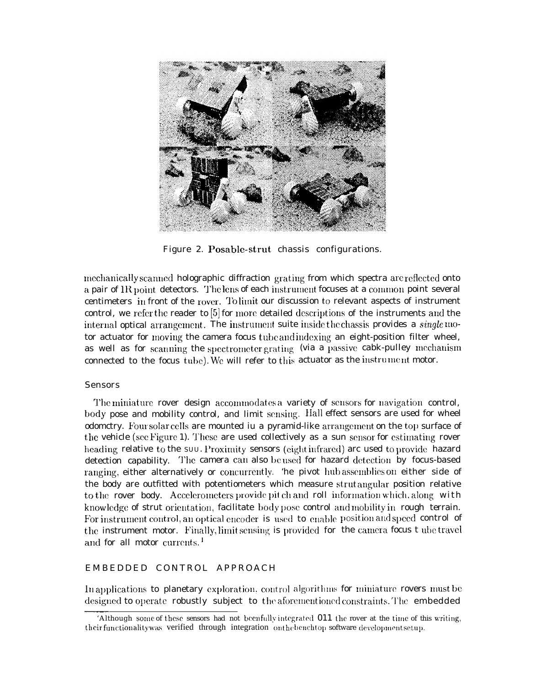

Figure 2. Posable-strut chassis configurations.

mechanically scanned holographic diffraction grating from which spectra are reflected onto a pair of IR point detectors. The lens of each instrument focuses at a common point several centimeters in front of the rover. To limit our discussion to relevant aspects of instrument control, we refer the reader to  $[5]$  for more detailed descriptions of the instruments and the internal optical arrangement. The instrument suite inside the chassis provides a single motor actuator for moving the camera focus tube and indexing an eight-position filter wheel, as well as for scanning the spectrometer grating (via a passive cabk-pulley mechanism connected to the focus tube). We will refer to this actuator as the instrument motor.

## Sensors

The miniature rover design accommodates a variety of sensors for navigation control, body pose and mobility control, and limit sensing. Hall effect sensors are used for wheel odomctry. Four solar cells are mounted iu a pyramid-like arrangement on the top surface of the vehicle (see Figure 1). These are used collectively as a sun sensor for estimating rover heading relative to the SUU. Proximity sensors (eight infrared) arc used to provide hazard detection capability. The camera can also be used for hazard detection by focus-based ranging, either alternatively or concurrently. 'he pivot hub assemblies on either side of the body are outfitted with potentiometers which measure strut augular position relative to the rover body. Accelerometers provide pit ch and roll information which, along with knowledge of strut orientation, facilitate body pose control and mobility in rough terrain. For instrument control, an optical encoder is used to enable position and speed control of the instrument motor. Finally, limit sensing is provided for the camera focus t ube travel and for all motor currents.<sup>1</sup>

## EMBEDDED CONTROL APPROACH

In applications to planetary exploration, control algorithms for miniature rovers must be designed to operate robustly subject to the aforementioned constraints. The <code>embedded</code>

<sup>&#</sup>x27;Although some of these sensors had not beenfully integrated  $011$  the rover at the time of this writing, their functionality was verified through integration on the benchtop software development setup.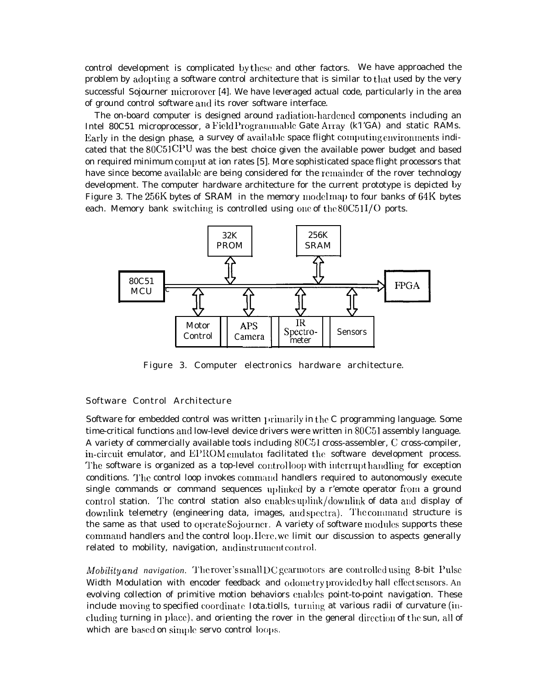control development is complicated by these and other factors. We have approached the problem by adopting a software control architecture that is similar to that used by the very successful Sojourner microrover [4]. We have leveraged actual code, particularly in the area of ground control software and its rover software interface.

The on-board computer is designed around radiation-hardened components including an Intel 80C51 microprocessor, a Field Programmable Gate Array (kTGA) and static RAMs. Early in the design phase, a survey of available space flight computing environments indicated that the *80C51* CPU was the best choice given the available power budget and based on required minimum comput at ion rates [5]. More sophisticated space flight processors that have since become available are being considered for the remainder of the rover technology development. The computer hardware architecture for the current prototype is depicted by Figure 3. The 256K bytes of SRAM in the memory model map to four banks of 64K bytes each. Memory bank switching is controlled using one of the  $80C511/O$  ports.



Figure 3. Computer electronics hardware architecture.

#### Software Control Architecture

Software for embedded control was written  $\mu$ rimarily in the C programming language. Some time-critical functions and low-level device drivers were written in 80C51 assembly language. A variety of commercially available tools including  $80C51$  cross-assembler, C cross-compiler, in-circuit emulator, and EPROM emulator facilitated the software development process. The software is organized as a top-level controlloop with interrupt handling for exception conditions. The control loop invokes command handlers required to autonomously execute single commands or command sequences uplinked by a r'emote operator from a ground control station. The control station also enables uplink/downlink of data and display of downlink telemetry (engineering data, images, and spectra). The command structure is the same as that used to operate Sojourner. A variety of software modules supports these command handlers and the control loop. Here, we limit our discussion to aspects generally related to mobility, navigation, and instrument control.

*Mobility* and *navigation*. The rover's small DC gearmotors are controlled using 8-bit Pulse Width Modulation with encoder feedback and odometry provided by hall effect sensors. An evolving collection of primitive motion behaviors enables point-to-point navigation. These include moving to specified coordinate Iota.tiolls, turning at various radii of curvature (including turning in place), and orienting the rover in the general direction of the sun, all of which are based on simple servo control loops.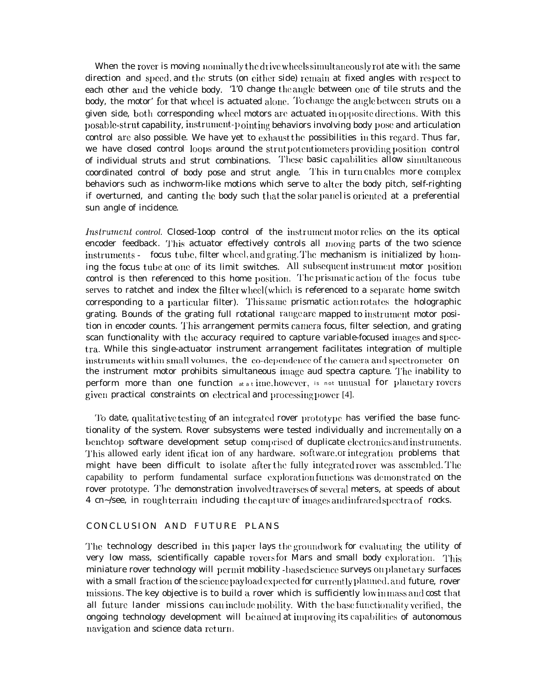When the rover is moving nominally the drive wheels simultaneously rot ate with the same direction and speed, and the struts (on either side) remain at fixed angles with respect to each other and the vehicle body. '1'0 change the angle between one of tile struts and the body, the motor' for that wheel is actuated alone. To change the angle between struts on a given side, both corresponding wheel motors are actuated in opposite directions. With this posable-strut capability, instrument-pointing behaviors involving body pose and articulation control are also possible. We have yet to exhaust the possibilities in this regard. Thus far, we have closed control loops around the strut potentiometers providing position control of individual struts and strut combinations. These basic capabilities allow simultaneous coordinated control of body pose and strut angle. This in turn enables more complex behaviors such as inchworm-like motions which serve to alter the body pitch, self-righting if overturned, and canting the body such that the solar panel is oriented at a preferential sun angle of incidence.

Instrument control. Closed-100p control of the instrument motor relies on the its optical encoder feedback. This actuator effectively controls all moving parts of the two science instruments - focus tube, filter wheel, and grating. The mechanism is initialized by homing the focus tube at one of its limit switches. All subsequent instrument motor position control is then referenced to this home position. The prismatic action of the focus tube serves to ratchet and index the filter wheel(which is referenced to a separate home switch corresponding to a particular filter). This same prismatic action rotates the holographic grating. Bounds of the grating full rotational range are mapped to instrument motor position in encoder counts. This arrangement permits camera focus, filter selection, and grating scan functionality with the accuracy required to capture variable-focused images and spectra. While this single-actuator instrument arrangement facilitates integration of multiple instruments within small volumes, the co-dependence of the camera and spectrometer on the instrument motor prohibits simultaneous image aud spectra capture. The inability to perform more than one function at a time, however, is not unusual for planetary rovers given practical constraints on electrical and processing power [4].

To date, qualitative testing of an integrated rover prototype has verified the base functionality of the system. Rover subsystems were tested individually and incrementally on a benchtop software development setup comprised of duplicate electronics and instruments. This allowed early ident ificat ion of any hardware. software, or integration problems that might have been difficult to isolate after the fully integrated rover was assembled. The capability to perform fundamental surface exploration functions was demonstrated on the rover prototype. The demonstration involved traverses of several meters, at speeds of about 4 cn~/see, in rough terrain including the capture of images and infrared spectra of rocks.

## CONCLUSION AND FUTURE PLANS

The technology described in this paper lays the groundwork for evaluating the utility of very low mass, scientifically capable rovers for Mars and small body exploration. This miniature rover technology will permit mobility -based science surveys on planetary surfaces with a small fraction of the science payload expected for currently planned, and future, rover missions. The key objective is to build a rover which is sufficiently low in mass and cost that all future lander missions can include mobility. With the base functionality verified, the ongoing technology development will be aimed at improving its capabilities of autonomous navigation and science data return.